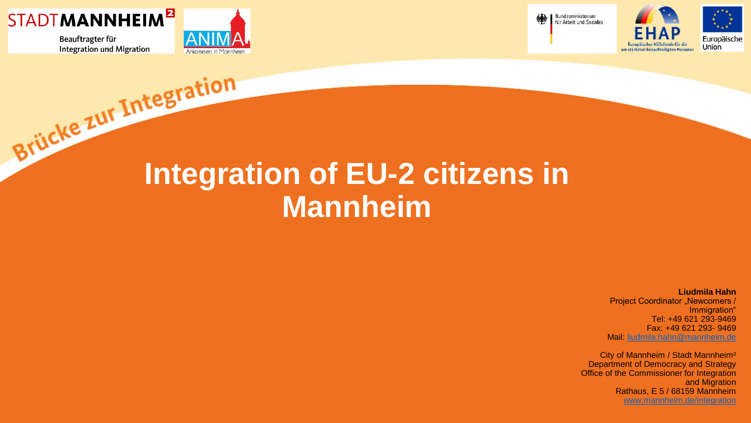





缣



### **Integration of EU-2 citizens in Mannheim**

**Liudmila Hahn** Project Coordinator "Newcomers / Immigration" Tel: +49 621 293-9469 Fax: +49 621 293- 9469 Mail: [liudmila.hahn@mannheim.de](mailto:dorothee.schmitt@mannheim.de)

City of Mannheim / Stadt Mannheim² Department of Democracy and Strategy Office of the Commissioner for Integration and Migration Rathaus, E 5 / 68159 Mannheim [www.mannheim.de/integration](http://www.mannheim.de/integration)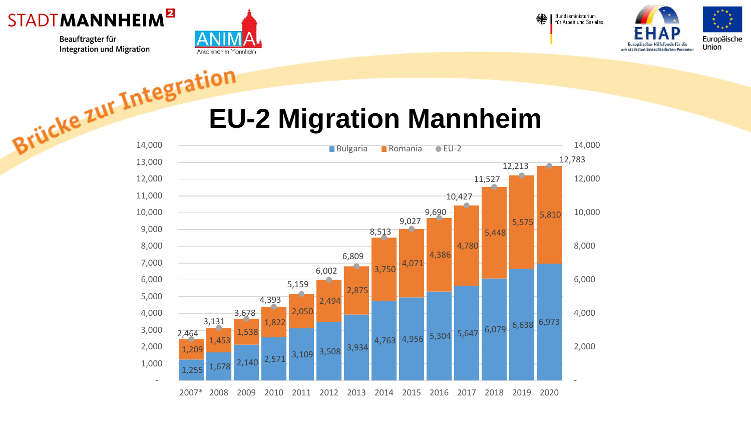



Bundesministerium für Arbeit und Soziales



#### **EU-2 Migration Mannheim**

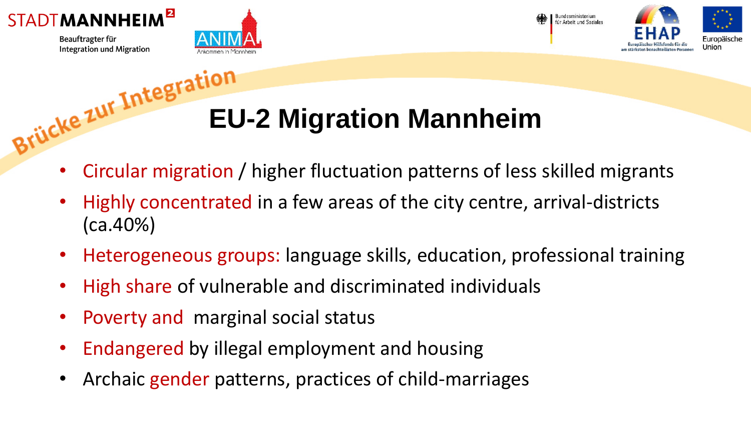



Bundesministerium für Arbeit und Soziales



# **Brücke zur Intester EU-2 Migration Mannheim**

- Circular migration / higher fluctuation patterns of less skilled migrants
- Highly concentrated in a few areas of the city centre, arrival-districts (ca.40%)
- Heterogeneous groups: language skills, education, professional training
- High share of vulnerable and discriminated individuals
- Poverty and marginal social status
- Endangered by illegal employment and housing
- Archaic gender patterns, practices of child-marriages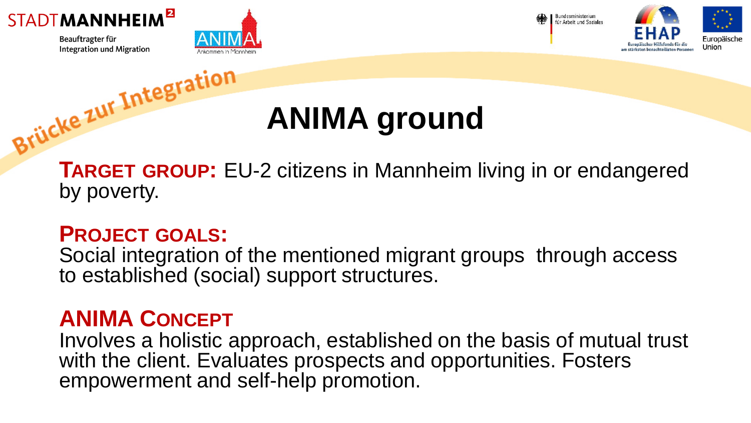







#### **ANIMA ground**

**TARGET GROUP:** EU-2 citizens in Mannheim living in or endangered by poverty.

#### **PROJECT GOALS:**

Social integration of the mentioned migrant groups through access to established (social) support structures.

#### **ANIMA CONCEPT**

Involves a holistic approach, established on the basis of mutual trust with the client. Evaluates prospects and opportunities. Fosters empowerment and self-help promotion.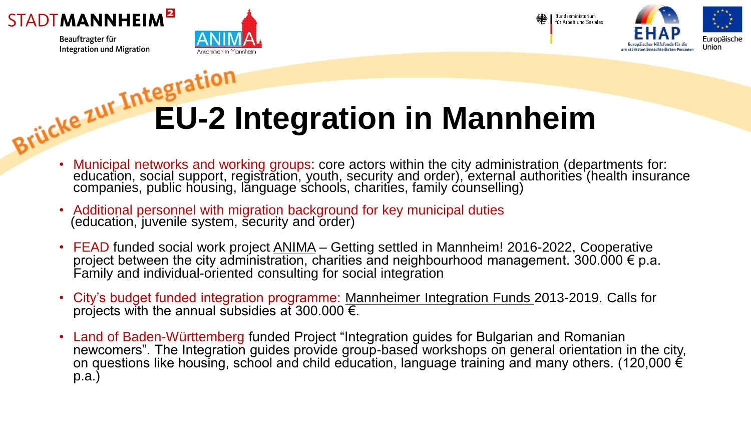







## **Brücke zur Integration in Mannheim**

- Municipal networks and working groups: core actors within the city administration (departments for: education, social support, registration, youth, security and order), external authorities (health insurance companies, public housing, lănguage schools, charities, family counselling)
- Additional personnel with migration background for key municipal duties (education, juvenile system, security and order)
- FEAD funded social work project **ANIMA** Getting settled in Mannheim! 2016-2022, Cooperative project between the city administration, charities and neighbourhood management. 300.000 € p.a. Family and individual-oriented consulting for social integration
- City's budget funded integration programme: Mannheimer Integration Funds 2013-2019. Calls for projects with the annual subsidies at 300.000  $\overline{\epsilon}$ .
- Land of Baden-Württemberg funded Project "Integration guides for Bulgarian and Romanian newcomers". The Integration guides provide group-based workshops on general orientation in the city, on questions like housing, school and child education, language training and many others. (120,000  $\acute{\epsilon}$ p.a.)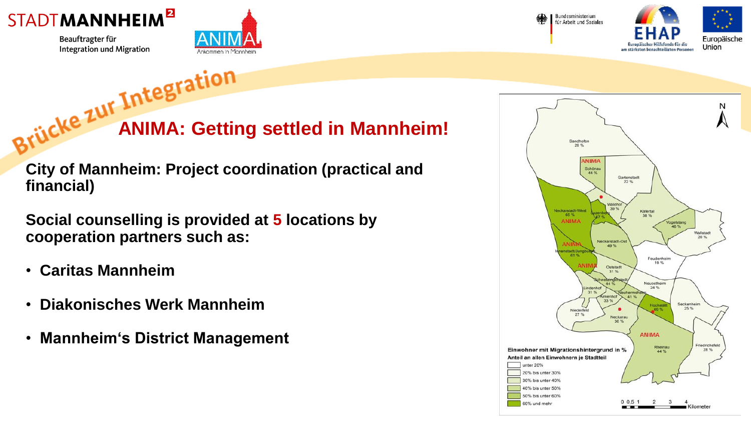



**Brücke Zur Incested in Mannheim!** 

**City of Mannheim: Project coordination (practical and financial)**

**Social counselling is provided at 5 locations by cooperation partners such as:**

- **Caritas Mannheim**
- **Diakonisches Werk Mannheim**
- **Mannheim's District Management**

**Bundesministerium** für Arbeit und Soziales



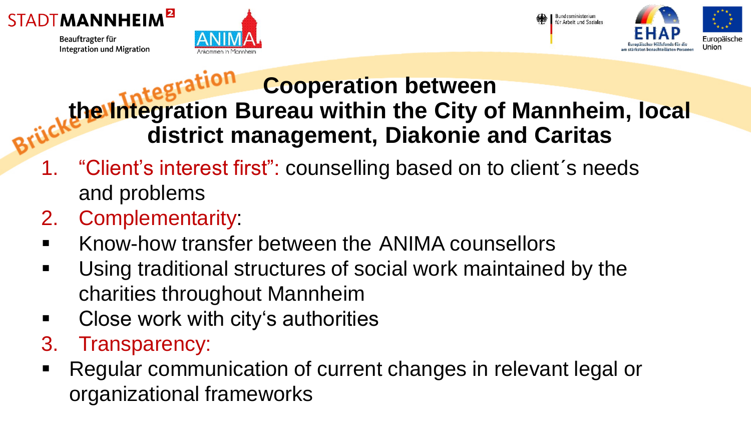







#### **Cooperation between the Integration Bureau within the City of Mannheim, local district management, Diakonie and Caritas**

- "Client's interest first": counselling based on to client's needs and problems
- 2. Complementarity:
- Know-how transfer between the ANIMA counsellors
- Using traditional structures of social work maintained by the charities throughout Mannheim
- Close work with city's authorities
- 3. Transparency:
- Regular communication of current changes in relevant legal or organizational frameworks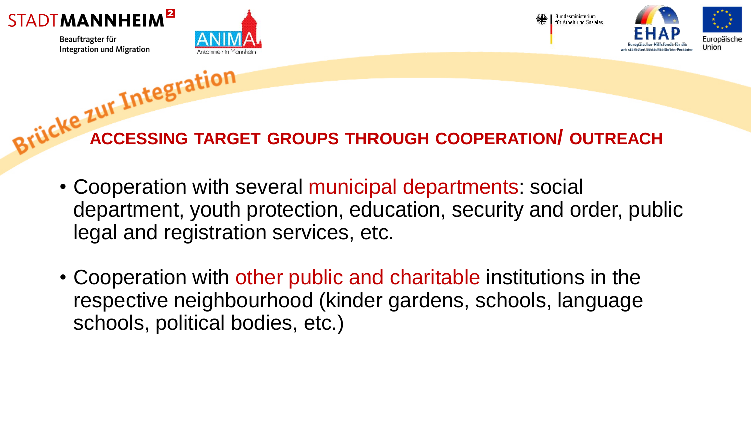







**ACCESSING TARGET GROUPS THROUGH COOPERATION/ OUTREACH**

- Cooperation with several municipal departments: social department, youth protection, education, security and order, public legal and registration services, etc.
- Cooperation with other public and charitable institutions in the respective neighbourhood (kinder gardens, schools, language schools, political bodies, etc.)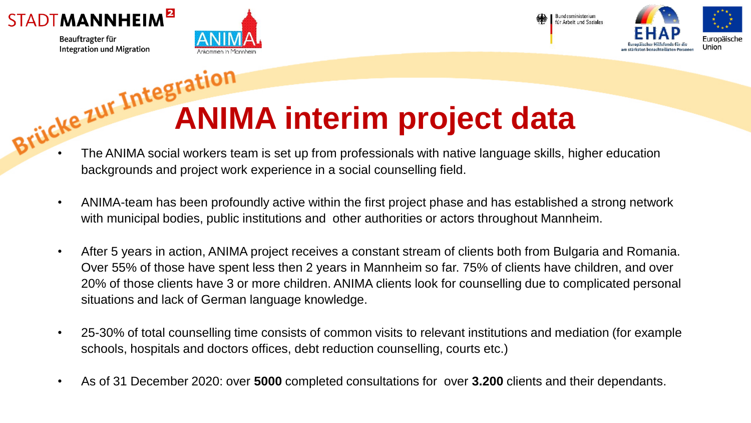



Bundesministerium für Arbeit und Soziales



# **Brücke zur Integration interim project data**

- The ANIMA social workers team is set up from professionals with native language skills, higher education backgrounds and project work experience in a social counselling field.
- ANIMA-team has been profoundly active within the first project phase and has established a strong network with municipal bodies, public institutions and other authorities or actors throughout Mannheim.
- After 5 years in action, ANIMA project receives a constant stream of clients both from Bulgaria and Romania. Over 55% of those have spent less then 2 years in Mannheim so far. 75% of clients have children, and over 20% of those clients have 3 or more children. ANIMA clients look for counselling due to complicated personal situations and lack of German language knowledge.
- 25-30% of total counselling time consists of common visits to relevant institutions and mediation (for example schools, hospitals and doctors offices, debt reduction counselling, courts etc.)
- As of 31 December 2020: over **5000** completed consultations for over **3.200** clients and their dependants.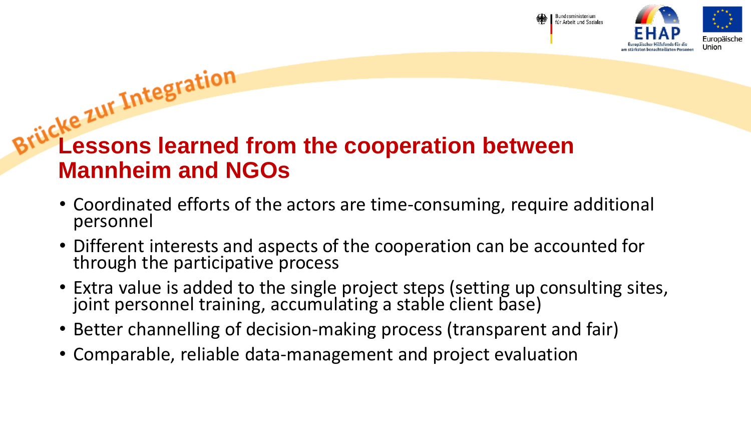



### **Lessons learned from the cooperation between Mannheim and NGOs**

- Coordinated efforts of the actors are time-consuming, require additional personnel
- Different interests and aspects of the cooperation can be accounted for through the participative process
- Extra value is added to the single project steps (setting up consulting sites, joint personnel training, accumulating a stable client base)
- Better channelling of decision-making process (transparent and fair)
- Comparable, reliable data-management and project evaluation